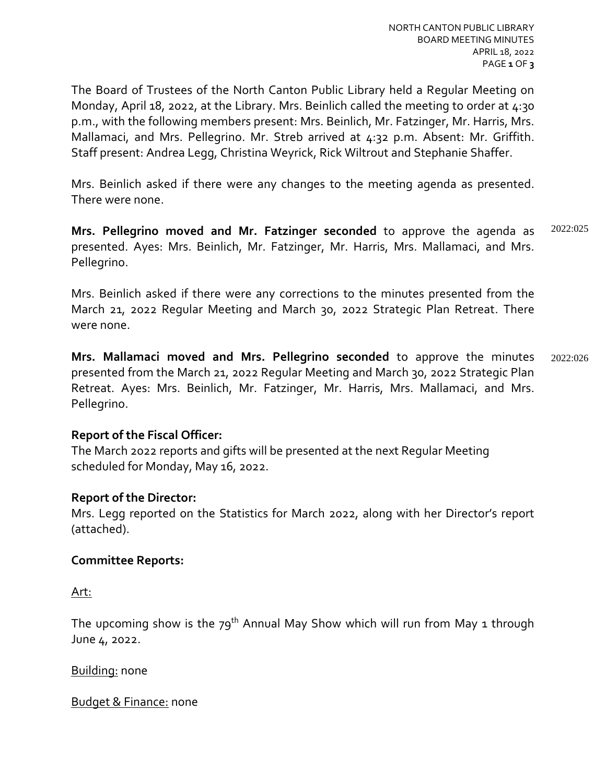The Board of Trustees of the North Canton Public Library held a Regular Meeting on Monday, April 18, 2022, at the Library. Mrs. Beinlich called the meeting to order at  $4:30$ p.m., with the following members present: Mrs. Beinlich, Mr. Fatzinger, Mr. Harris, Mrs. Mallamaci, and Mrs. Pellegrino. Mr. Streb arrived at 4:32 p.m. Absent: Mr. Griffith. Staff present: Andrea Legg, Christina Weyrick, Rick Wiltrout and Stephanie Shaffer.

Mrs. Beinlich asked if there were any changes to the meeting agenda as presented. There were none.

**Mrs. Pellegrino moved and Mr. Fatzinger seconded** to approve the agenda as presented. Ayes: Mrs. Beinlich, Mr. Fatzinger, Mr. Harris, Mrs. Mallamaci, and Mrs. Pellegrino. 2022:025

Mrs. Beinlich asked if there were any corrections to the minutes presented from the March 21, 2022 Regular Meeting and March 30, 2022 Strategic Plan Retreat. There were none.

**Mrs. Mallamaci moved and Mrs. Pellegrino seconded** to approve the minutes presented from the March 21, 2022 Regular Meeting and March 30, 2022 Strategic Plan Retreat. Ayes: Mrs. Beinlich, Mr. Fatzinger, Mr. Harris, Mrs. Mallamaci, and Mrs. Pellegrino. 2022:026

## **Report of the Fiscal Officer:**

The March 2022 reports and gifts will be presented at the next Regular Meeting scheduled for Monday, May 16, 2022.

## **Report of the Director:**

Mrs. Legg reported on the Statistics for March 2022, along with her Director's report (attached).

## **Committee Reports:**

Art:

The upcoming show is the  $79^{th}$  Annual May Show which will run from May 1 through June 4, 2022.

Building: none

Budget & Finance: none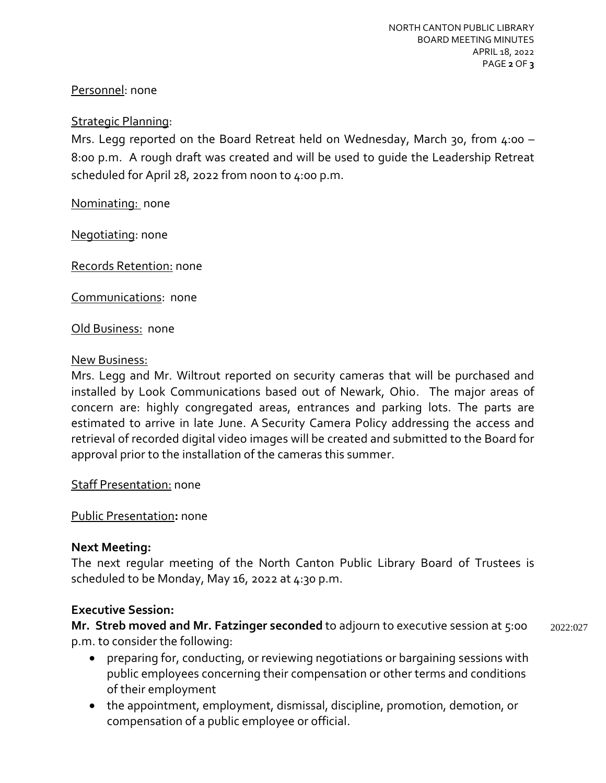# Personnel: none

## Strategic Planning:

Mrs. Legg reported on the Board Retreat held on Wednesday, March 30, from 4:00 – 8:00 p.m. A rough draft was created and will be used to guide the Leadership Retreat scheduled for April 28, 2022 from noon to 4:00 p.m.

Nominating: none

Negotiating: none

Records Retention: none

Communications: none

**Old Business: none** 

#### New Business:

Mrs. Legg and Mr. Wiltrout reported on security cameras that will be purchased and installed by Look Communications based out of Newark, Ohio. The major areas of concern are: highly congregated areas, entrances and parking lots. The parts are estimated to arrive in late June. A Security Camera Policy addressing the access and retrieval of recorded digital video images will be created and submitted to the Board for approval prior to the installation of the cameras this summer.

**Staff Presentation: none** 

Public Presentation**:** none

## **Next Meeting:**

The next regular meeting of the North Canton Public Library Board of Trustees is scheduled to be Monday, May 16, 2022 at 4:30 p.m.

## **Executive Session:**

**Mr. Streb moved and Mr. Fatzinger seconded** to adjourn to executive session at 5:00 p.m. to consider the following: 2022:027

- preparing for, conducting, or reviewing negotiations or bargaining sessions with public employees concerning their compensation or other terms and conditions of their employment
- the appointment, employment, dismissal, discipline, promotion, demotion, or compensation of a public employee or official.